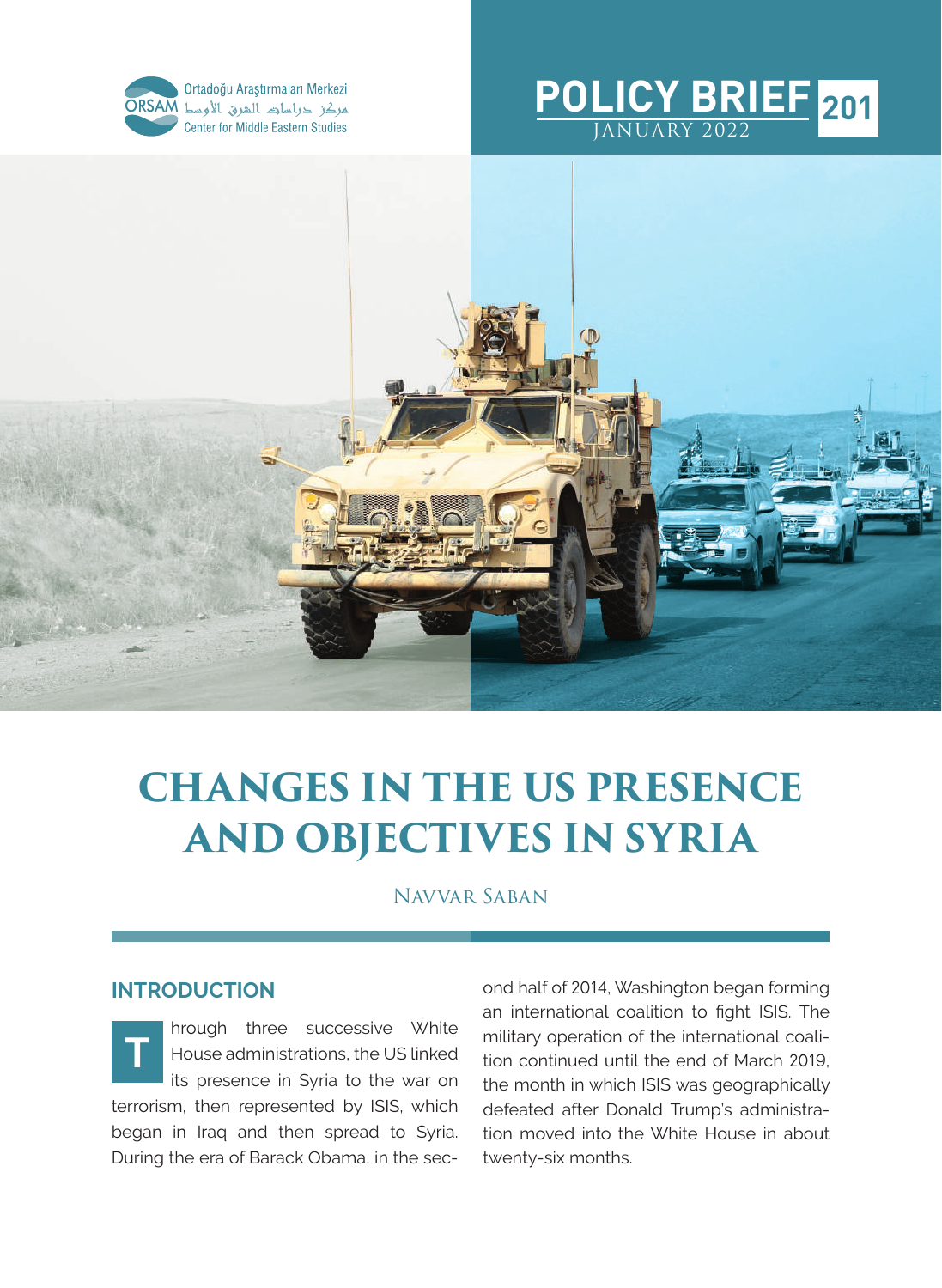





# **CHANGES IN THE US PRESENCE AND OBJECTIVES IN SYRIA**

Navvar Saban

### **INTRODUCTION**

hrough three successive White House administrations, the US linked its presence in Syria to the war on terrorism, then represented by ISIS, which began in Iraq and then spread to Syria. During the era of Barack Obama, in the sec-**T**

ond half of 2014, Washington began forming an international coalition to fight ISIS. The military operation of the international coalition continued until the end of March 2019, the month in which ISIS was geographically defeated after Donald Trump's administration moved into the White House in about twenty-six months.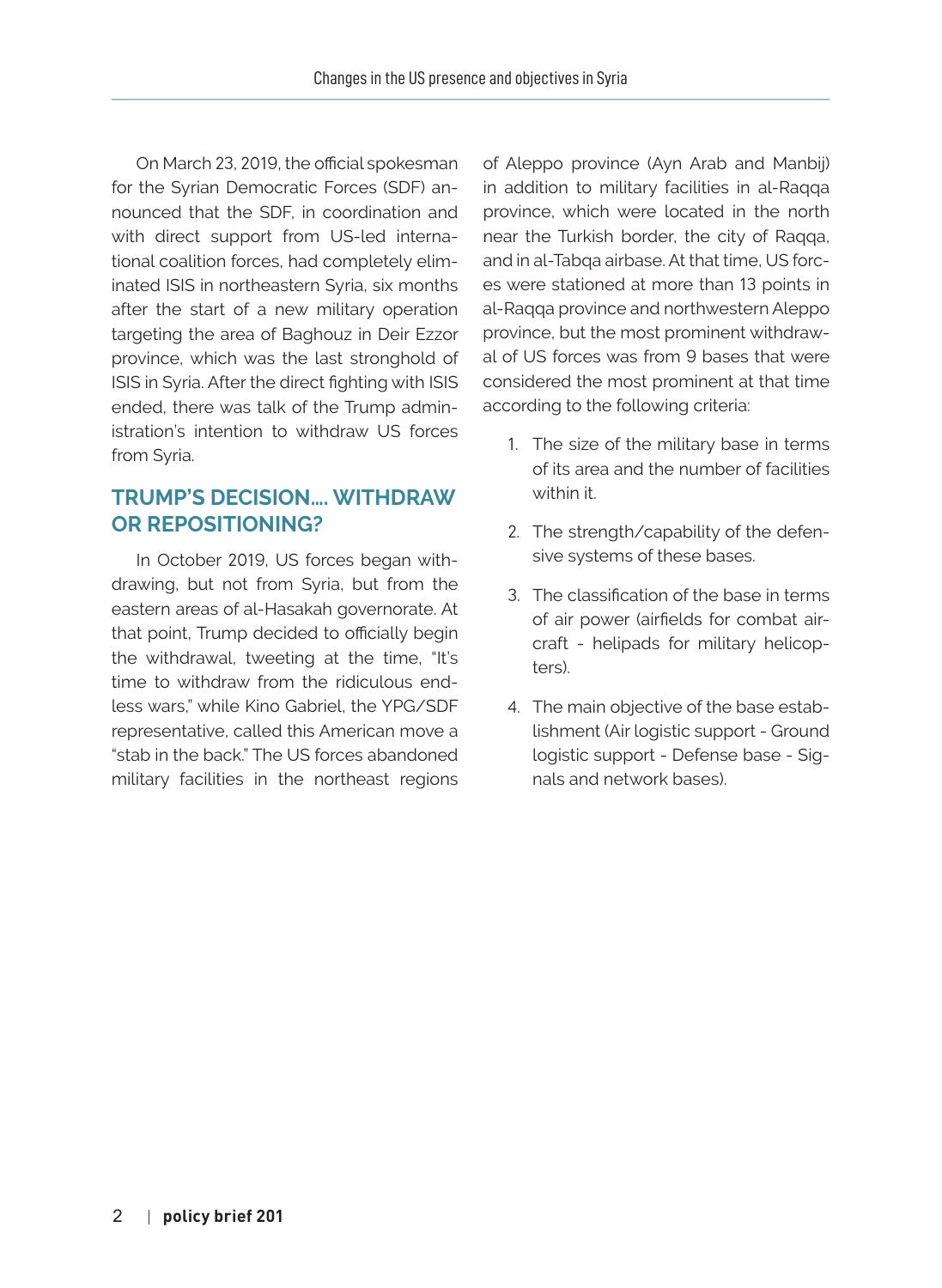On March 23, 2019, the official spokesman for the Syrian Democratic Forces (SDF) announced that the SDF, in coordination and with direct support from US-led international coalition forces, had completely eliminated ISIS in northeastern Syria, six months after the start of a new military operation targeting the area of Baghouz in Deir Ezzor province, which was the last stronghold of ISIS in Syria. After the direct fighting with ISIS ended, there was talk of the Trump administration's intention to withdraw US forces from Syria.

### **TRUMP'S DECISION…. WITHDRAW OR REPOSITIONING?**

In October 2019, US forces began withdrawing, but not from Syria, but from the eastern areas of al-Hasakah governorate. At that point, Trump decided to officially begin the withdrawal, tweeting at the time, "It's time to withdraw from the ridiculous endless wars," while Kino Gabriel, the YPG/SDF representative, called this American move a "stab in the back." The US forces abandoned military facilities in the northeast regions of Aleppo province (Ayn Arab and Manbij) in addition to military facilities in al-Raqqa province, which were located in the north near the Turkish border, the city of Raqqa, and in al-Tabqa airbase. At that time, US forces were stationed at more than 13 points in al-Raqqa province and northwestern Aleppo province, but the most prominent withdrawal of US forces was from 9 bases that were considered the most prominent at that time according to the following criteria:

- 1. The size of the military base in terms of its area and the number of facilities within it.
- 2. The strength/capability of the defensive systems of these bases.
- 3. The classification of the base in terms of air power (airfields for combat aircraft - helipads for military helicopters).
- 4. The main objective of the base establishment (Air logistic support - Ground logistic support - Defense base - Signals and network bases).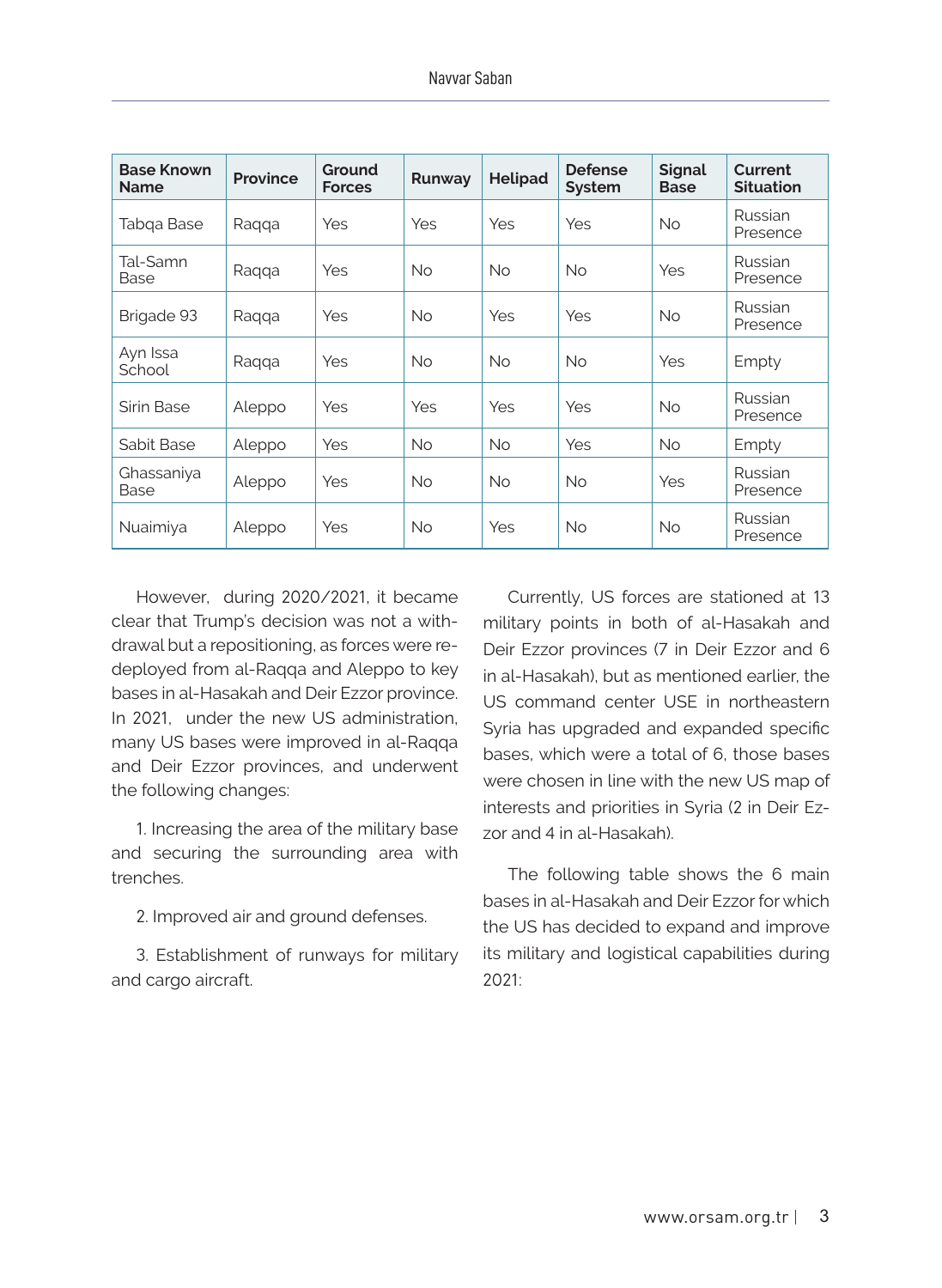| <b>Base Known</b><br><b>Name</b> | <b>Province</b> | Ground<br><b>Forces</b> | Runway    | <b>Helipad</b> | <b>Defense</b><br><b>System</b> | <b>Signal</b><br><b>Base</b> | Current<br><b>Situation</b> |
|----------------------------------|-----------------|-------------------------|-----------|----------------|---------------------------------|------------------------------|-----------------------------|
| Tabqa Base                       | Ragga           | Yes                     | Yes       | Yes            | Yes                             | <b>No</b>                    | Russian<br>Presence         |
| Tal-Samn<br>Base                 | Raqqa           | Yes                     | <b>No</b> | <b>No</b>      | <b>No</b>                       | Yes                          | Russian<br>Presence         |
| Brigade 93                       | Raqqa           | Yes                     | <b>No</b> | Yes            | Yes                             | No.                          | Russian<br>Presence         |
| Ayn Issa<br>School               | Raqqa           | Yes                     | No.       | <b>No</b>      | <b>No</b>                       | Yes                          | Empty                       |
| Sirin Base                       | Aleppo          | Yes                     | Yes       | Yes            | Yes                             | No.                          | Russian<br>Presence         |
| Sabit Base                       | Aleppo          | Yes                     | <b>No</b> | <b>No</b>      | Yes                             | <b>No</b>                    | Empty                       |
| Ghassaniya<br>Base               | Aleppo          | Yes                     | <b>No</b> | <b>No</b>      | <b>No</b>                       | Yes                          | Russian<br>Presence         |
| Nuaimiya                         | Aleppo          | Yes                     | <b>No</b> | Yes            | <b>No</b>                       | <b>No</b>                    | Russian<br>Presence         |

However, during 2020/2021, it became clear that Trump's decision was not a withdrawal but a repositioning, as forces were redeployed from al-Raqqa and Aleppo to key bases in al-Hasakah and Deir Ezzor province. In 2021, under the new US administration, many US bases were improved in al-Raqqa and Deir Ezzor provinces, and underwent the following changes:

1. Increasing the area of the military base and securing the surrounding area with trenches.

2. Improved air and ground defenses.

3. Establishment of runways for military and cargo aircraft.

Currently, US forces are stationed at 13 military points in both of al-Hasakah and Deir Ezzor provinces (7 in Deir Ezzor and 6 in al-Hasakah), but as mentioned earlier, the US command center USE in northeastern Syria has upgraded and expanded specific bases, which were a total of 6, those bases were chosen in line with the new US map of interests and priorities in Syria (2 in Deir Ezzor and 4 in al-Hasakah).

The following table shows the 6 main bases in al-Hasakah and Deir Ezzor for which the US has decided to expand and improve its military and logistical capabilities during 2021: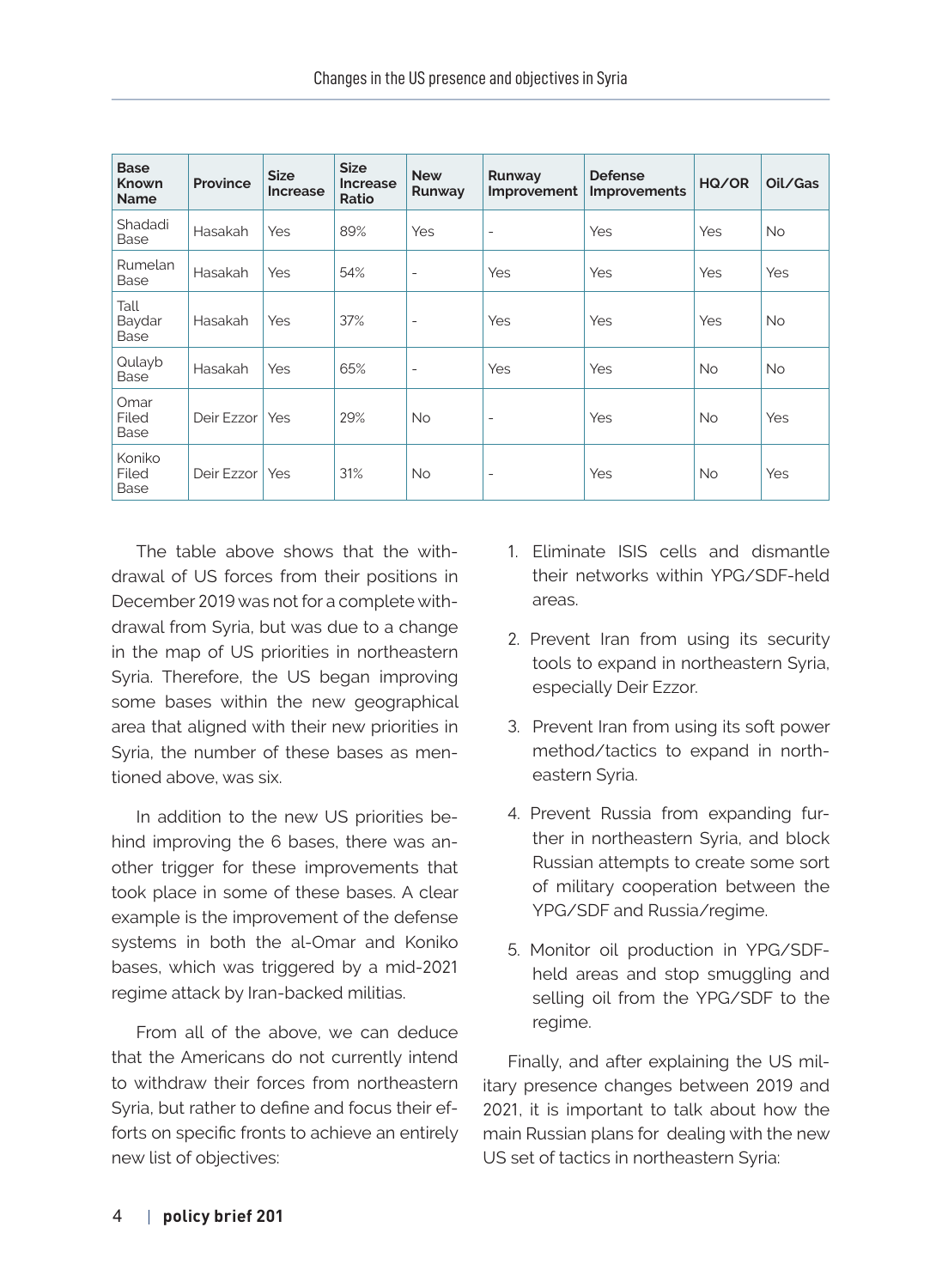| <b>Base</b><br><b>Known</b><br><b>Name</b> | Province         | <b>Size</b><br><b>Increase</b> | <b>Size</b><br>Increase<br>Ratio | <b>New</b><br>Runway     | Runway<br>Improvement    | <b>Defense</b><br>Improvements | HQ/OR      | Oil/Gas   |
|--------------------------------------------|------------------|--------------------------------|----------------------------------|--------------------------|--------------------------|--------------------------------|------------|-----------|
| Shadadi<br>Base                            | Hasakah          | <b>Yes</b>                     | 89%                              | Yes                      | $\overline{\phantom{a}}$ | Yes                            | <b>Yes</b> | <b>No</b> |
| Rumelan<br>Base                            | Hasakah          | <b>Yes</b>                     | 54%                              | $\overline{a}$           | Yes                      | Yes                            | Yes        | Yes       |
| Tall<br>Baydar<br>Base                     | Hasakah          | <b>Yes</b>                     | 37%                              | $\overline{\phantom{0}}$ | Yes                      | Yes                            | <b>Yes</b> | <b>No</b> |
| Qulayb<br>Base                             | Hasakah          | <b>Yes</b>                     | 65%                              | $\overline{a}$           | Yes                      | Yes                            | No         | <b>No</b> |
| Omar<br>Filed<br>Base                      | Deir Ezzor   Yes |                                | 29%                              | No.                      | $\overline{\phantom{a}}$ | Yes                            | <b>No</b>  | Yes       |
| Koniko<br>Filed<br>Base                    | Deir Ezzor   Yes |                                | 31%                              | No.                      | $\overline{\phantom{a}}$ | Yes                            | No         | Yes       |

The table above shows that the withdrawal of US forces from their positions in December 2019 was not for a complete withdrawal from Syria, but was due to a change in the map of US priorities in northeastern Syria. Therefore, the US began improving some bases within the new geographical area that aligned with their new priorities in Syria, the number of these bases as mentioned above, was six.

In addition to the new US priorities behind improving the 6 bases, there was another trigger for these improvements that took place in some of these bases. A clear example is the improvement of the defense systems in both the al-Omar and Koniko bases, which was triggered by a mid-2021 regime attack by Iran-backed militias.

From all of the above, we can deduce that the Americans do not currently intend to withdraw their forces from northeastern Syria, but rather to define and focus their efforts on specific fronts to achieve an entirely new list of objectives:

- 1. Eliminate ISIS cells and dismantle their networks within YPG/SDF-held areas.
- 2. Prevent Iran from using its security tools to expand in northeastern Syria, especially Deir Ezzor.
- 3. Prevent Iran from using its soft power method/tactics to expand in northeastern Syria.
- 4. Prevent Russia from expanding further in northeastern Syria, and block Russian attempts to create some sort of military cooperation between the YPG/SDF and Russia/regime.
- 5. Monitor oil production in YPG/SDFheld areas and stop smuggling and selling oil from the YPG/SDF to the regime.

Finally, and after explaining the US military presence changes between 2019 and 2021, it is important to talk about how the main Russian plans for dealing with the new US set of tactics in northeastern Syria: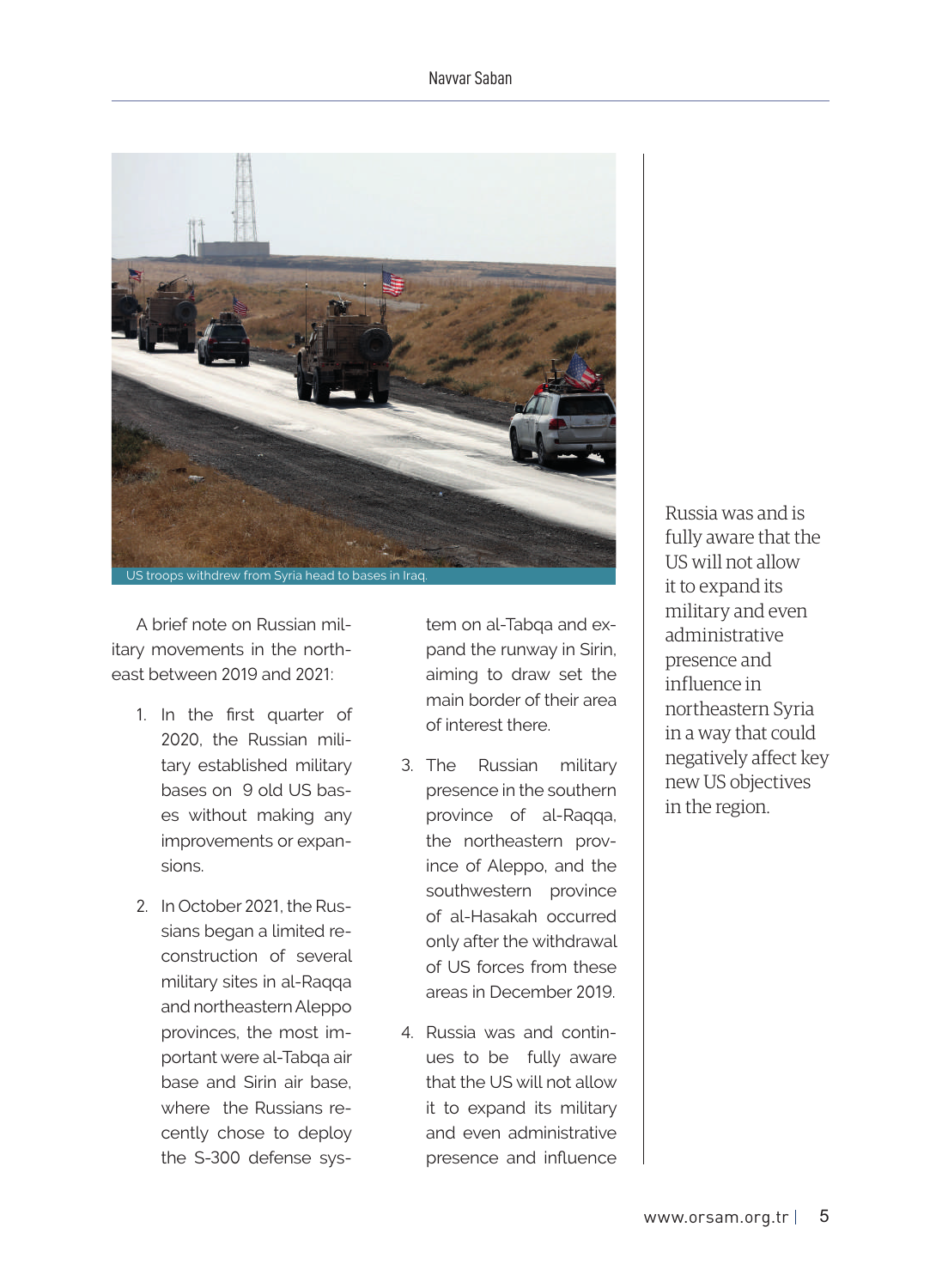#### Navvar Saban



A brief note on Russian military movements in the northeast between 2019 and 2021:

- 1. In the first quarter of 2020, the Russian military established military bases on 9 old US bases without making any improvements or expansions.
- 2. In October 2021, the Russians began a limited reconstruction of several military sites in al-Raqqa and northeastern Aleppo provinces, the most important were al-Tabqa air base and Sirin air base, where the Russians recently chose to deploy the S-300 defense sys-

tem on al-Tabqa and expand the runway in Sirin, aiming to draw set the main border of their area of interest there.

- 3. The Russian military presence in the southern province of al-Raqqa, the northeastern province of Aleppo, and the southwestern province of al-Hasakah occurred only after the withdrawal of US forces from these areas in December 2019.
- 4. Russia was and continues to be fully aware that the US will not allow it to expand its military and even administrative presence and influence

Russia was and is fully aware that the US will not allow it to expand its military and even administrative presence and influence in northeastern Syria in a way that could negatively affect key new US objectives in the region.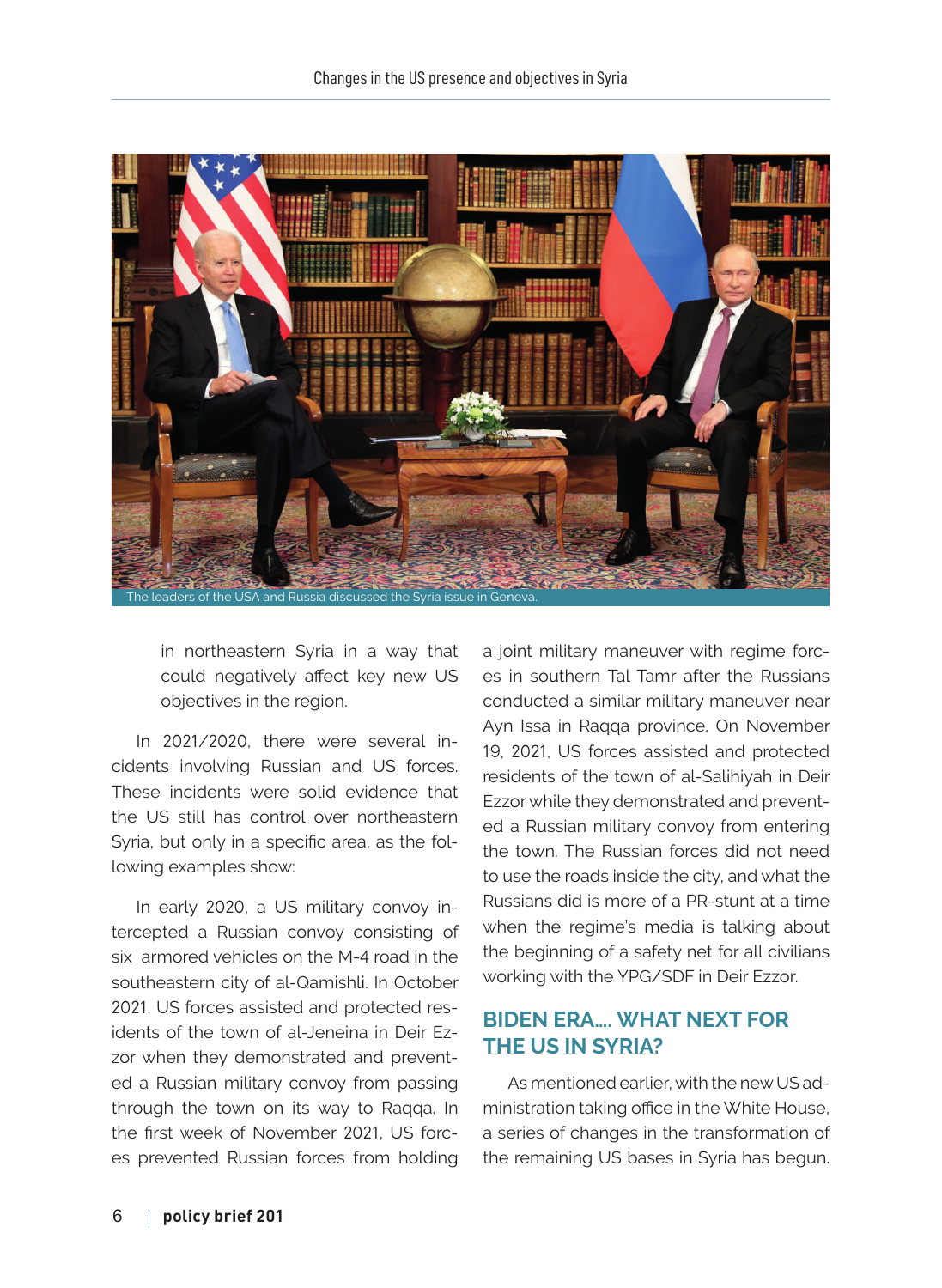

in northeastern Syria in a way that could negatively affect key new US objectives in the region.

In 2021/2020, there were several incidents involving Russian and US forces. These incidents were solid evidence that the US still has control over northeastern Syria, but only in a specific area, as the following examples show:

In early 2020, a US military convoy intercepted a Russian convoy consisting of six armored vehicles on the M-4 road in the southeastern city of al-Qamishli. In October 2021, US forces assisted and protected residents of the town of al-Jeneina in Deir Ezzor when they demonstrated and prevented a Russian military convoy from passing through the town on its way to Raqqa. In the first week of November 2021, US forces prevented Russian forces from holding a joint military maneuver with regime forces in southern Tal Tamr after the Russians conducted a similar military maneuver near Ayn Issa in Raqqa province. On November 19, 2021, US forces assisted and protected residents of the town of al-Salihiyah in Deir Ezzor while they demonstrated and prevented a Russian military convoy from entering the town. The Russian forces did not need to use the roads inside the city, and what the Russians did is more of a PR-stunt at a time when the regime's media is talking about the beginning of a safety net for all civilians working with the YPG/SDF in Deir Ezzor.

# **BIDEN ERA…. WHAT NEXT FOR THE US IN SYRIA?**

As mentioned earlier, with the new US administration taking office in the White House, a series of changes in the transformation of the remaining US bases in Syria has begun.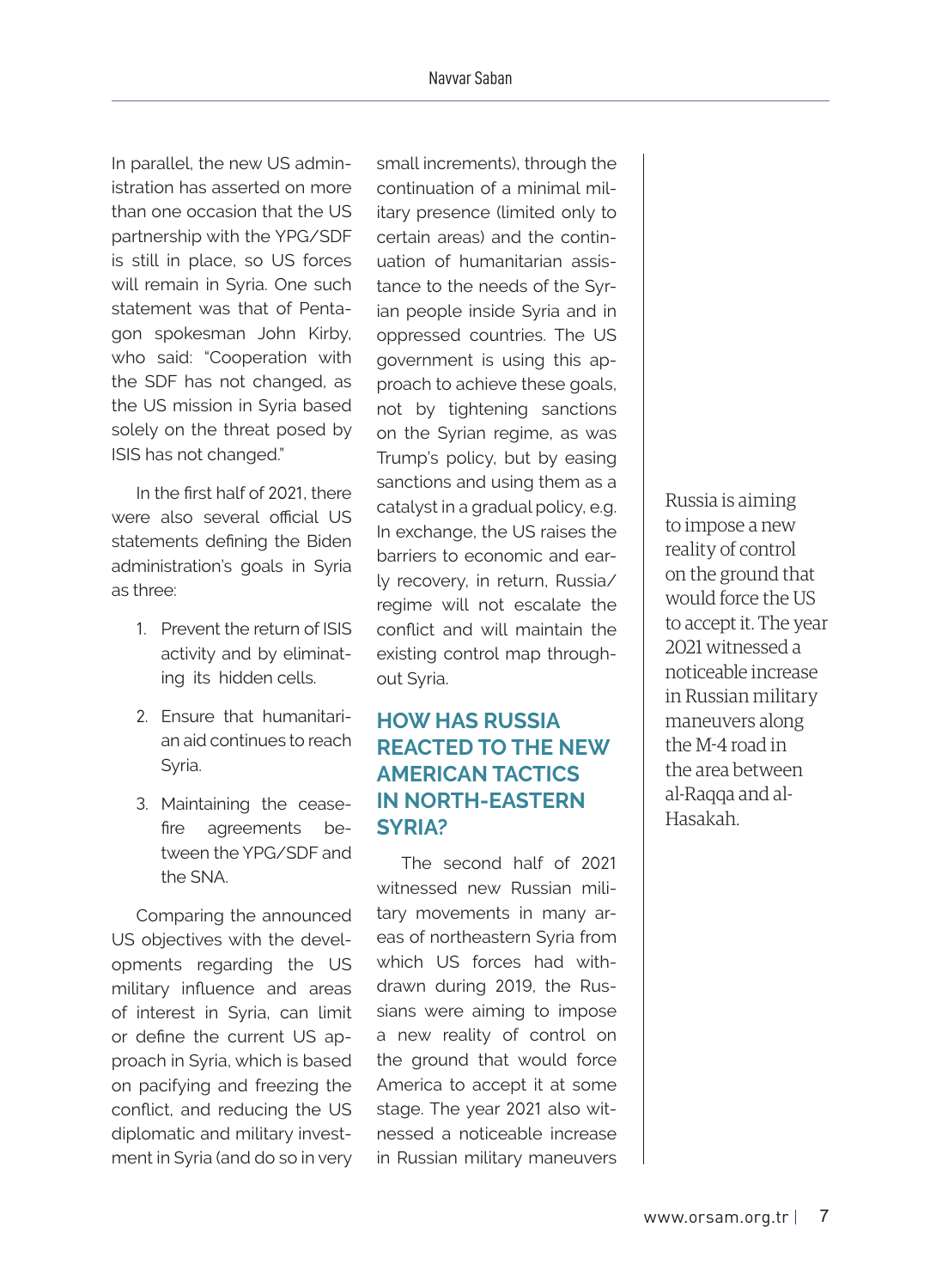In parallel, the new US administration has asserted on more than one occasion that the US partnership with the YPG/SDF is still in place, so US forces will remain in Syria. One such statement was that of Pentagon spokesman John Kirby, who said: "Cooperation with the SDF has not changed, as the US mission in Syria based solely on the threat posed by ISIS has not changed."

In the first half of 2021, there were also several official US statements defining the Biden administration's goals in Syria as three:

- 1. Prevent the return of ISIS activity and by eliminating its hidden cells.
- 2. Ensure that humanitarian aid continues to reach Syria.
- 3. Maintaining the ceasefire agreements between the YPG/SDF and the SNA.

Comparing the announced US objectives with the developments regarding the US military influence and areas of interest in Syria, can limit or define the current US approach in Syria, which is based on pacifying and freezing the conflict, and reducing the US diplomatic and military investment in Syria (and do so in very

small increments), through the continuation of a minimal military presence (limited only to certain areas) and the continuation of humanitarian assistance to the needs of the Syrian people inside Syria and in oppressed countries. The US government is using this approach to achieve these goals, not by tightening sanctions on the Syrian regime, as was Trump's policy, but by easing sanctions and using them as a catalyst in a gradual policy, e.g. In exchange, the US raises the barriers to economic and early recovery, in return, Russia/ regime will not escalate the conflict and will maintain the existing control map throughout Syria.

# **HOW HAS RUSSIA REACTED TO THE NEW AMERICAN TACTICS IN NORTH-EASTERN SYRIA?**

The second half of 2021 witnessed new Russian military movements in many areas of northeastern Syria from which US forces had withdrawn during 2019, the Russians were aiming to impose a new reality of control on the ground that would force America to accept it at some stage. The year 2021 also witnessed a noticeable increase in Russian military maneuvers

Russia is aiming to impose a new reality of control on the ground that would force the US to accept it. The year 2021 witnessed a noticeable increase in Russian military maneuvers along the M-4 road in the area between al-Raqqa and al-Hasakah.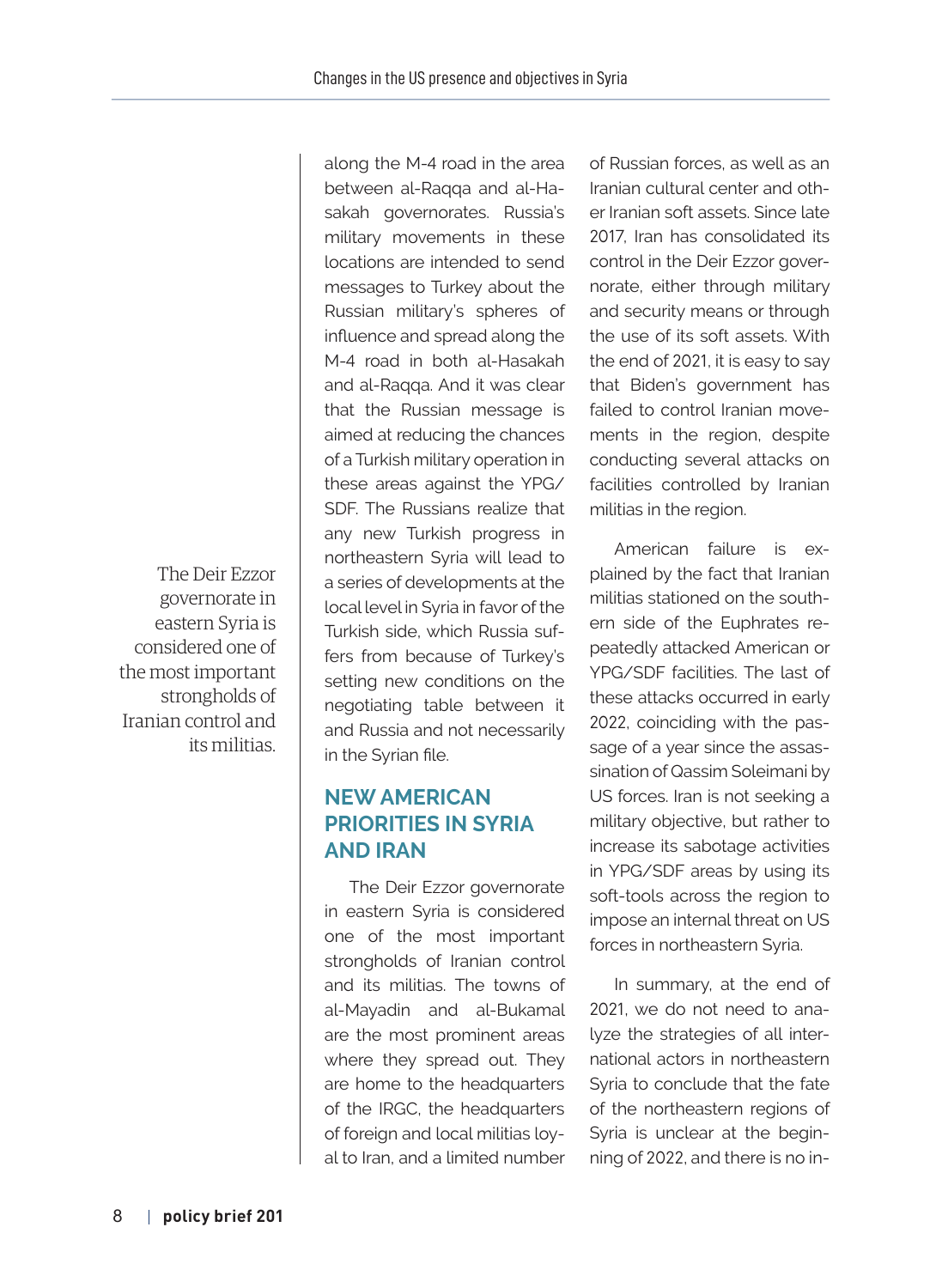The Deir Ezzor governorate in eastern Syria is considered one of the most important strongholds of Iranian control and its militias.

along the M-4 road in the area between al-Raqqa and al-Hasakah governorates. Russia's military movements in these locations are intended to send messages to Turkey about the Russian military's spheres of influence and spread along the M-4 road in both al-Hasakah and al-Raqqa. And it was clear that the Russian message is aimed at reducing the chances of a Turkish military operation in these areas against the YPG/ SDF. The Russians realize that any new Turkish progress in northeastern Syria will lead to a series of developments at the local level in Syria in favor of the Turkish side, which Russia suffers from because of Turkey's setting new conditions on the negotiating table between it and Russia and not necessarily in the Syrian file.

# **NEW AMERICAN PRIORITIES IN SYRIA AND IRAN**

The Deir Ezzor governorate in eastern Syria is considered one of the most important strongholds of Iranian control and its militias. The towns of al-Mayadin and al-Bukamal are the most prominent areas where they spread out. They are home to the headquarters of the IRGC, the headquarters of foreign and local militias loyal to Iran, and a limited number of Russian forces, as well as an Iranian cultural center and other Iranian soft assets. Since late 2017, Iran has consolidated its control in the Deir Ezzor governorate, either through military and security means or through the use of its soft assets. With the end of 2021, it is easy to say that Biden's government has failed to control Iranian movements in the region, despite conducting several attacks on facilities controlled by Iranian militias in the region.

American failure is explained by the fact that Iranian militias stationed on the southern side of the Euphrates repeatedly attacked American or YPG/SDF facilities. The last of these attacks occurred in early 2022, coinciding with the passage of a year since the assassination of Qassim Soleimani by US forces. Iran is not seeking a military objective, but rather to increase its sabotage activities in YPG/SDF areas by using its soft-tools across the region to impose an internal threat on US forces in northeastern Syria.

In summary, at the end of 2021, we do not need to analyze the strategies of all international actors in northeastern Syria to conclude that the fate of the northeastern regions of Syria is unclear at the beginning of 2022, and there is no in-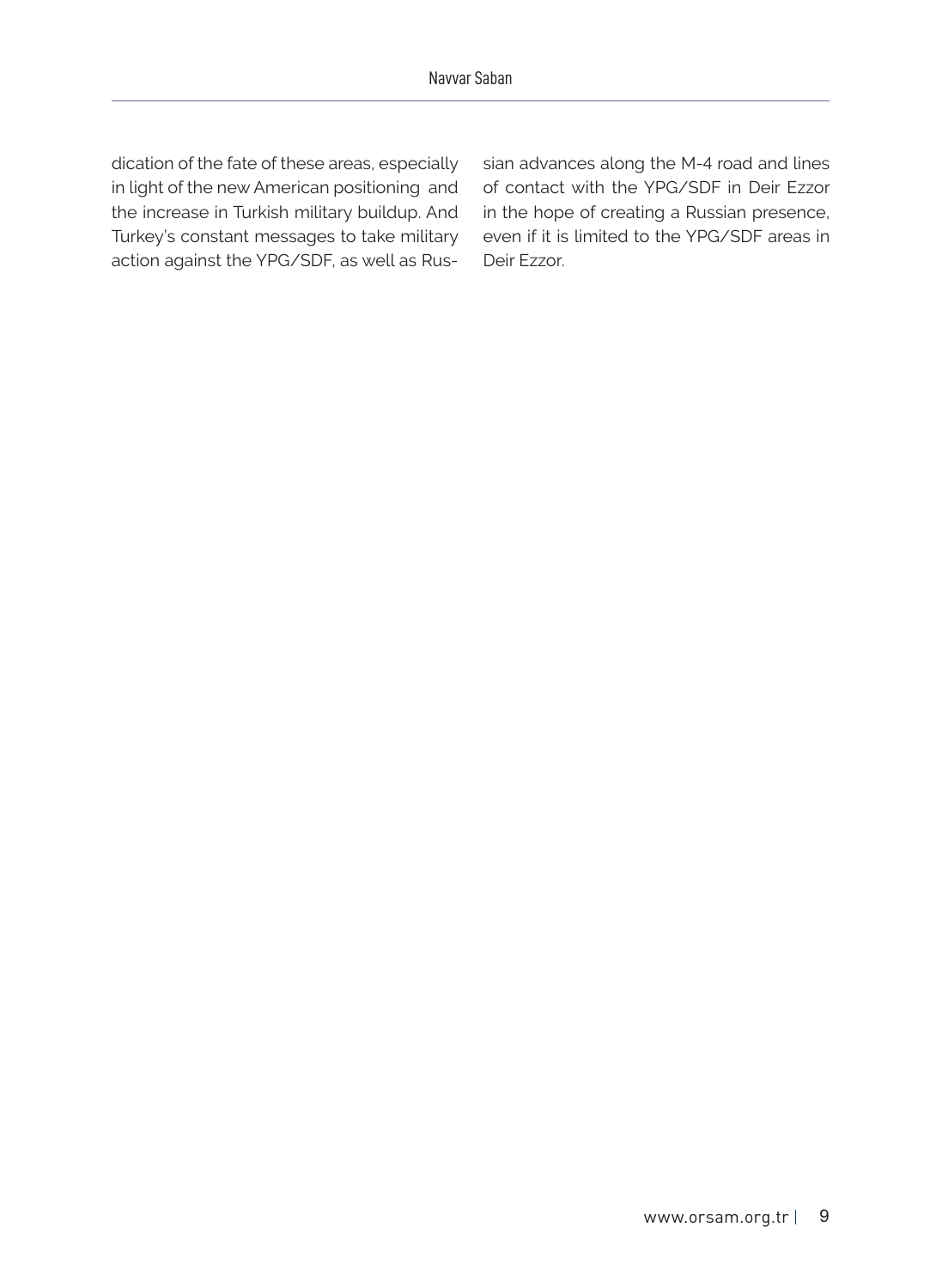dication of the fate of these areas, especially in light of the new American positioning and the increase in Turkish military buildup. And Turkey's constant messages to take military action against the YPG/SDF, as well as Russian advances along the M-4 road and lines of contact with the YPG/SDF in Deir Ezzor in the hope of creating a Russian presence, even if it is limited to the YPG/SDF areas in Deir Ezzor.